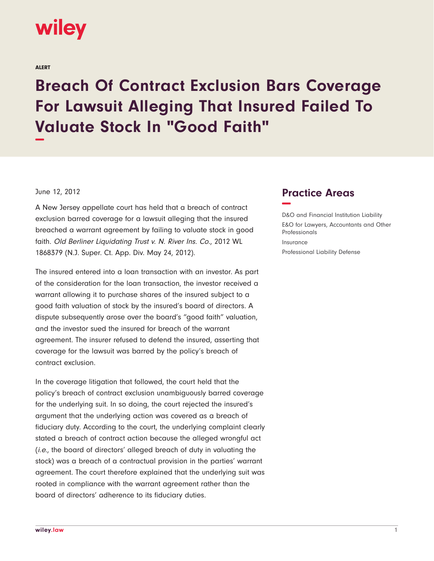

ALERT

## **Breach Of Contract Exclusion Bars Coverage For Lawsuit Alleging That Insured Failed To Valuate Stock In "Good Faith" −**

## June 12, 2012

A New Jersey appellate court has held that a breach of contract exclusion barred coverage for a lawsuit alleging that the insured breached a warrant agreement by failing to valuate stock in good faith. Old Berliner Liquidating Trust v. N. River Ins. Co., 2012 WL 1868379 (N.J. Super. Ct. App. Div. May 24, 2012).

The insured entered into a loan transaction with an investor. As part of the consideration for the loan transaction, the investor received a warrant allowing it to purchase shares of the insured subject to a good faith valuation of stock by the insured's board of directors. A dispute subsequently arose over the board's "good faith" valuation, and the investor sued the insured for breach of the warrant agreement. The insurer refused to defend the insured, asserting that coverage for the lawsuit was barred by the policy's breach of contract exclusion.

In the coverage litigation that followed, the court held that the policy's breach of contract exclusion unambiguously barred coverage for the underlying suit. In so doing, the court rejected the insured's argument that the underlying action was covered as a breach of fiduciary duty. According to the court, the underlying complaint clearly stated a breach of contract action because the alleged wrongful act (i.e., the board of directors' alleged breach of duty in valuating the stock) was a breach of a contractual provision in the parties' warrant agreement. The court therefore explained that the underlying suit was rooted in compliance with the warrant agreement rather than the board of directors' adherence to its fiduciary duties.

## **Practice Areas −**

D&O and Financial Institution Liability E&O for Lawyers, Accountants and Other Professionals Insurance Professional Liability Defense